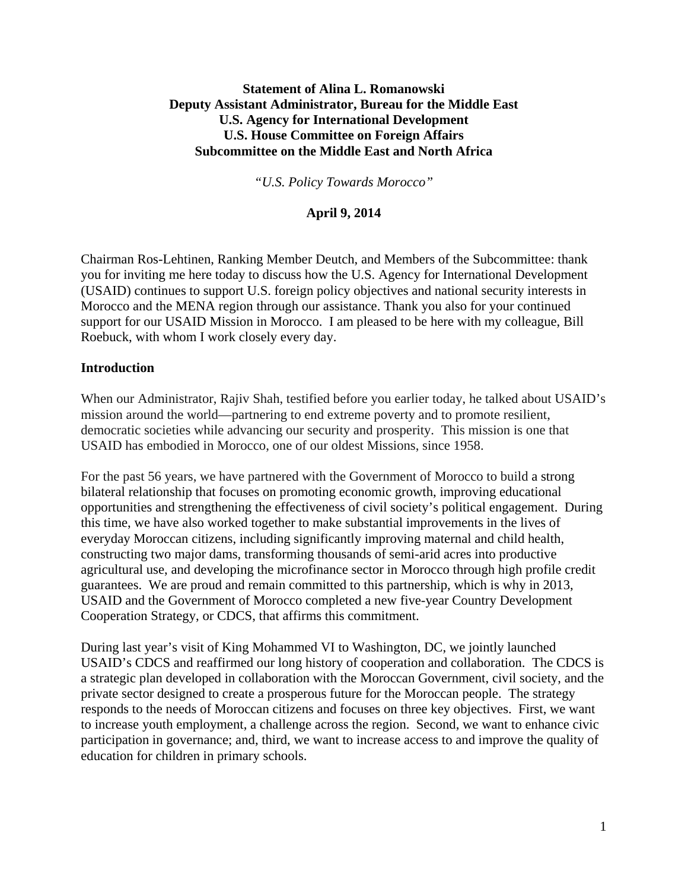# **Statement of Alina L. Romanowski Deputy Assistant Administrator, Bureau for the Middle East U.S. Agency for International Development U.S. House Committee on Foreign Affairs Subcommittee on the Middle East and North Africa**

*"U.S. Policy Towards Morocco"*

## **April 9, 2014**

Chairman Ros-Lehtinen, Ranking Member Deutch, and Members of the Subcommittee: thank you for inviting me here today to discuss how the U.S. Agency for International Development (USAID) continues to support U.S. foreign policy objectives and national security interests in Morocco and the MENA region through our assistance. Thank you also for your continued support for our USAID Mission in Morocco. I am pleased to be here with my colleague, Bill Roebuck, with whom I work closely every day.

#### **Introduction**

When our Administrator, Rajiv Shah, testified before you earlier today, he talked about USAID's mission around the world—partnering to end extreme poverty and to promote resilient, democratic societies while advancing our security and prosperity. This mission is one that USAID has embodied in Morocco, one of our oldest Missions, since 1958.

For the past 56 years, we have partnered with the Government of Morocco to build a strong bilateral relationship that focuses on promoting economic growth, improving educational opportunities and strengthening the effectiveness of civil society's political engagement. During this time, we have also worked together to make substantial improvements in the lives of everyday Moroccan citizens, including significantly improving maternal and child health, constructing two major dams, transforming thousands of semi-arid acres into productive agricultural use, and developing the microfinance sector in Morocco through high profile credit guarantees. We are proud and remain committed to this partnership, which is why in 2013, USAID and the Government of Morocco completed a new five-year Country Development Cooperation Strategy, or CDCS, that affirms this commitment.

During last year's visit of King Mohammed VI to Washington, DC, we jointly launched USAID's CDCS and reaffirmed our long history of cooperation and collaboration. The CDCS is a strategic plan developed in collaboration with the Moroccan Government, civil society, and the private sector designed to create a prosperous future for the Moroccan people. The strategy responds to the needs of Moroccan citizens and focuses on three key objectives. First, we want to increase youth employment, a challenge across the region. Second, we want to enhance civic participation in governance; and, third, we want to increase access to and improve the quality of education for children in primary schools.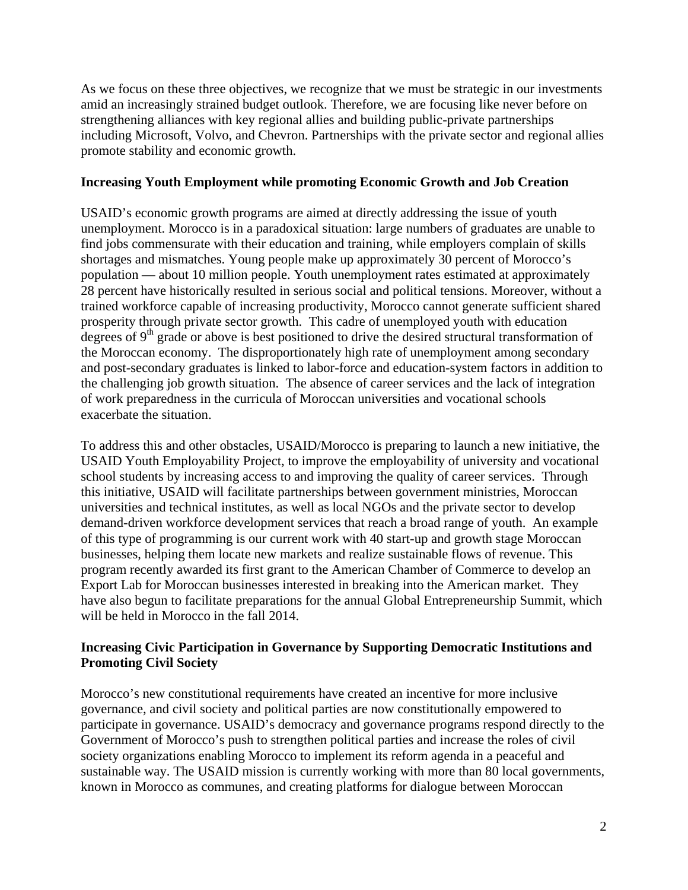As we focus on these three objectives, we recognize that we must be strategic in our investments amid an increasingly strained budget outlook. Therefore, we are focusing like never before on strengthening alliances with key regional allies and building public-private partnerships including Microsoft, Volvo, and Chevron. Partnerships with the private sector and regional allies promote stability and economic growth.

### **Increasing Youth Employment while promoting Economic Growth and Job Creation**

USAID's economic growth programs are aimed at directly addressing the issue of youth unemployment. Morocco is in a paradoxical situation: large numbers of graduates are unable to find jobs commensurate with their education and training, while employers complain of skills shortages and mismatches. Young people make up approximately 30 percent of Morocco's population — about 10 million people. Youth unemployment rates estimated at approximately 28 percent have historically resulted in serious social and political tensions. Moreover, without a trained workforce capable of increasing productivity, Morocco cannot generate sufficient shared prosperity through private sector growth. This cadre of unemployed youth with education degrees of  $9<sup>th</sup>$  grade or above is best positioned to drive the desired structural transformation of the Moroccan economy. The disproportionately high rate of unemployment among secondary and post-secondary graduates is linked to labor-force and education-system factors in addition to the challenging job growth situation. The absence of career services and the lack of integration of work preparedness in the curricula of Moroccan universities and vocational schools exacerbate the situation.

To address this and other obstacles, USAID/Morocco is preparing to launch a new initiative, the USAID Youth Employability Project, to improve the employability of university and vocational school students by increasing access to and improving the quality of career services. Through this initiative, USAID will facilitate partnerships between government ministries, Moroccan universities and technical institutes, as well as local NGOs and the private sector to develop demand-driven workforce development services that reach a broad range of youth. An example of this type of programming is our current work with 40 start-up and growth stage Moroccan businesses, helping them locate new markets and realize sustainable flows of revenue. This program recently awarded its first grant to the American Chamber of Commerce to develop an Export Lab for Moroccan businesses interested in breaking into the American market. They have also begun to facilitate preparations for the annual Global Entrepreneurship Summit, which will be held in Morocco in the fall 2014.

# **Increasing Civic Participation in Governance by Supporting Democratic Institutions and Promoting Civil Society**

Morocco's new constitutional requirements have created an incentive for more inclusive governance, and civil society and political parties are now constitutionally empowered to participate in governance. USAID's democracy and governance programs respond directly to the Government of Morocco's push to strengthen political parties and increase the roles of civil society organizations enabling Morocco to implement its reform agenda in a peaceful and sustainable way. The USAID mission is currently working with more than 80 local governments, known in Morocco as communes, and creating platforms for dialogue between Moroccan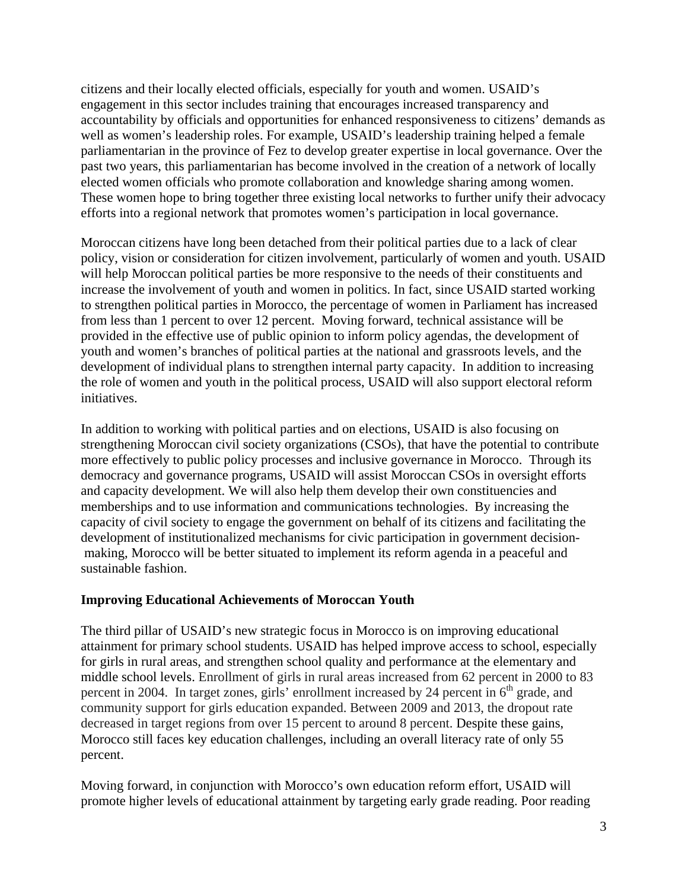citizens and their locally elected officials, especially for youth and women. USAID's engagement in this sector includes training that encourages increased transparency and accountability by officials and opportunities for enhanced responsiveness to citizens' demands as well as women's leadership roles. For example, USAID's leadership training helped a female parliamentarian in the province of Fez to develop greater expertise in local governance. Over the past two years, this parliamentarian has become involved in the creation of a network of locally elected women officials who promote collaboration and knowledge sharing among women. These women hope to bring together three existing local networks to further unify their advocacy efforts into a regional network that promotes women's participation in local governance.

Moroccan citizens have long been detached from their political parties due to a lack of clear policy, vision or consideration for citizen involvement, particularly of women and youth. USAID will help Moroccan political parties be more responsive to the needs of their constituents and increase the involvement of youth and women in politics. In fact, since USAID started working to strengthen political parties in Morocco, the percentage of women in Parliament has increased from less than 1 percent to over 12 percent. Moving forward, technical assistance will be provided in the effective use of public opinion to inform policy agendas, the development of youth and women's branches of political parties at the national and grassroots levels, and the development of individual plans to strengthen internal party capacity. In addition to increasing the role of women and youth in the political process, USAID will also support electoral reform initiatives.

In addition to working with political parties and on elections, USAID is also focusing on strengthening Moroccan civil society organizations (CSOs), that have the potential to contribute more effectively to public policy processes and inclusive governance in Morocco. Through its democracy and governance programs, USAID will assist Moroccan CSOs in oversight efforts and capacity development. We will also help them develop their own constituencies and memberships and to use information and communications technologies. By increasing the capacity of civil society to engage the government on behalf of its citizens and facilitating the development of institutionalized mechanisms for civic participation in government decisionmaking, Morocco will be better situated to implement its reform agenda in a peaceful and sustainable fashion.

# **Improving Educational Achievements of Moroccan Youth**

The third pillar of USAID's new strategic focus in Morocco is on improving educational attainment for primary school students. USAID has helped improve access to school, especially for girls in rural areas, and strengthen school quality and performance at the elementary and middle school levels. Enrollment of girls in rural areas increased from 62 percent in 2000 to 83 percent in 2004. In target zones, girls' enrollment increased by 24 percent in  $6<sup>th</sup>$  grade, and community support for girls education expanded. Between 2009 and 2013, the dropout rate decreased in target regions from over 15 percent to around 8 percent. Despite these gains, Morocco still faces key education challenges, including an overall literacy rate of only 55 percent.

Moving forward, in conjunction with Morocco's own education reform effort, USAID will promote higher levels of educational attainment by targeting early grade reading. Poor reading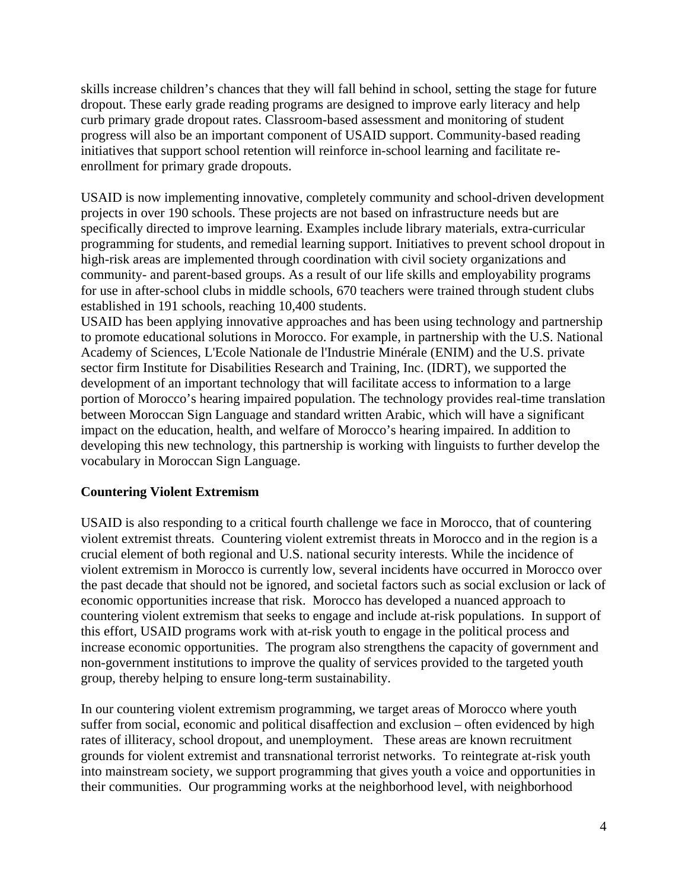skills increase children's chances that they will fall behind in school, setting the stage for future dropout. These early grade reading programs are designed to improve early literacy and help curb primary grade dropout rates. Classroom-based assessment and monitoring of student progress will also be an important component of USAID support. Community-based reading initiatives that support school retention will reinforce in-school learning and facilitate reenrollment for primary grade dropouts.

USAID is now implementing innovative, completely community and school-driven development projects in over 190 schools. These projects are not based on infrastructure needs but are specifically directed to improve learning. Examples include library materials, extra-curricular programming for students, and remedial learning support. Initiatives to prevent school dropout in high-risk areas are implemented through coordination with civil society organizations and community- and parent-based groups. As a result of our life skills and employability programs for use in after-school clubs in middle schools, 670 teachers were trained through student clubs established in 191 schools, reaching 10,400 students.

USAID has been applying innovative approaches and has been using technology and partnership to promote educational solutions in Morocco. For example, in partnership with the U.S. National Academy of Sciences, L'Ecole Nationale de l'Industrie Minérale (ENIM) and the U.S. private sector firm Institute for Disabilities Research and Training, Inc. (IDRT), we supported the development of an important technology that will facilitate access to information to a large portion of Morocco's hearing impaired population. The technology provides real-time translation between Moroccan Sign Language and standard written Arabic, which will have a significant impact on the education, health, and welfare of Morocco's hearing impaired. In addition to developing this new technology, this partnership is working with linguists to further develop the vocabulary in Moroccan Sign Language.

#### **Countering Violent Extremism**

USAID is also responding to a critical fourth challenge we face in Morocco, that of countering violent extremist threats. Countering violent extremist threats in Morocco and in the region is a crucial element of both regional and U.S. national security interests. While the incidence of violent extremism in Morocco is currently low, several incidents have occurred in Morocco over the past decade that should not be ignored, and societal factors such as social exclusion or lack of economic opportunities increase that risk. Morocco has developed a nuanced approach to countering violent extremism that seeks to engage and include at-risk populations. In support of this effort, USAID programs work with at-risk youth to engage in the political process and increase economic opportunities. The program also strengthens the capacity of government and non-government institutions to improve the quality of services provided to the targeted youth group, thereby helping to ensure long-term sustainability.

In our countering violent extremism programming, we target areas of Morocco where youth suffer from social, economic and political disaffection and exclusion – often evidenced by high rates of illiteracy, school dropout, and unemployment. These areas are known recruitment grounds for violent extremist and transnational terrorist networks. To reintegrate at-risk youth into mainstream society, we support programming that gives youth a voice and opportunities in their communities. Our programming works at the neighborhood level, with neighborhood